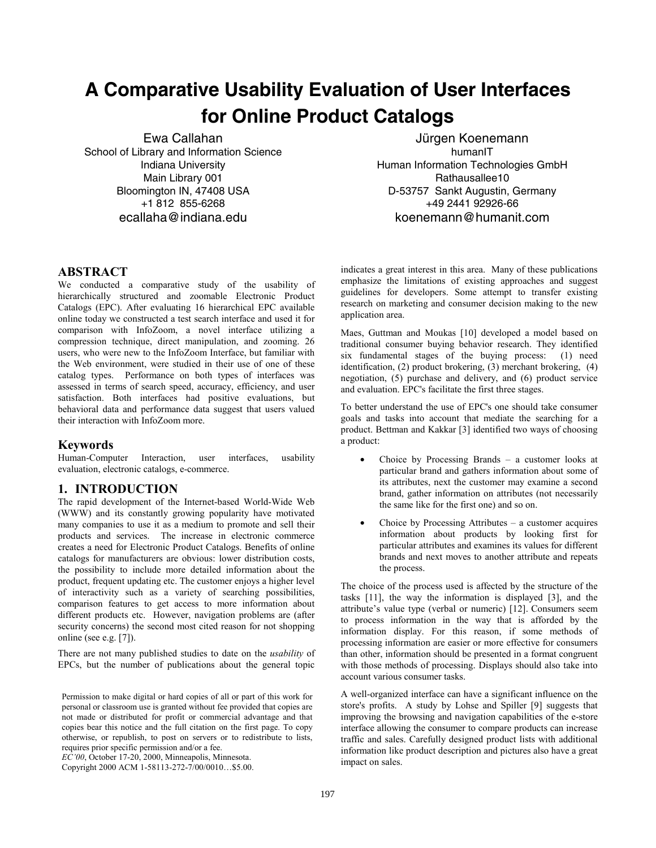# **A Comparative Usability Evaluation of User Interfaces for Online Product Catalogs**

Ewa Callahan School of Library and Information Science Indiana University Main Library 001 Bloomington IN, 47408 USA +1 812 855-6268 ecallaha@indiana.edu

Jürgen Koenemann humanIT Human Information Technologies GmbH Rathausallee10 D-53757 Sankt Augustin, Germany +49 2441 92926-66 koenemann@humanit.com

## **ABSTRACT**

We conducted a comparative study of the usability of hierarchically structured and zoomable Electronic Product Catalogs (EPC). After evaluating 16 hierarchical EPC available online today we constructed a test search interface and used it for comparison with InfoZoom, a novel interface utilizing a compression technique, direct manipulation, and zooming. 26 users, who were new to the InfoZoom Interface, but familiar with the Web environment, were studied in their use of one of these catalog types. Performance on both types of interfaces was assessed in terms of search speed, accuracy, efficiency, and user satisfaction. Both interfaces had positive evaluations, but behavioral data and performance data suggest that users valued their interaction with InfoZoom more.

#### **Keywords**

Human-Computer Interaction, user interfaces, usability evaluation, electronic catalogs, e-commerce.

## **1. INTRODUCTION**

The rapid development of the Internet-based World-Wide Web (WWW) and its constantly growing popularity have motivated many companies to use it as a medium to promote and sell their products and services. The increase in electronic commerce creates a need for Electronic Product Catalogs. Benefits of online catalogs for manufacturers are obvious: lower distribution costs, the possibility to include more detailed information about the product, frequent updating etc. The customer enjoys a higher level of interactivity such as a variety of searching possibilities, comparison features to get access to more information about different products etc. However, navigation problems are (after security concerns) the second most cited reason for not shopping online (see e.g. [7]).

There are not many published studies to date on the *usability* of EPCs, but the number of publications about the general topic

*EC'00*, October 17-20, 2000, Minneapolis, Minnesota.

Copyright 2000 ACM 1-58113-272-7/00/0010…\$5.00.

indicates a great interest in this area. Many of these publications emphasize the limitations of existing approaches and suggest guidelines for developers. Some attempt to transfer existing research on marketing and consumer decision making to the new application area.

Maes, Guttman and Moukas [10] developed a model based on traditional consumer buying behavior research. They identified six fundamental stages of the buying process: (1) need identification, (2) product brokering, (3) merchant brokering, (4) negotiation, (5) purchase and delivery, and (6) product service and evaluation. EPC's facilitate the first three stages.

To better understand the use of EPC's one should take consumer goals and tasks into account that mediate the searching for a product. Bettman and Kakkar [3] identified two ways of choosing a product:

- Choice by Processing Brands a customer looks at particular brand and gathers information about some of its attributes, next the customer may examine a second brand, gather information on attributes (not necessarily the same like for the first one) and so on.
- Choice by Processing Attributes  $-$  a customer acquires information about products by looking first for particular attributes and examines its values for different brands and next moves to another attribute and repeats the process.

The choice of the process used is affected by the structure of the tasks [11], the way the information is displayed [3], and the attribute's value type (verbal or numeric) [12]. Consumers seem to process information in the way that is afforded by the information display. For this reason, if some methods of processing information are easier or more effective for consumers than other, information should be presented in a format congruent with those methods of processing. Displays should also take into account various consumer tasks.

A well-organized interface can have a significant influence on the store's profits. A study by Lohse and Spiller [9] suggests that improving the browsing and navigation capabilities of the e-store interface allowing the consumer to compare products can increase traffic and sales. Carefully designed product lists with additional information like product description and pictures also have a great impact on sales.

Permission to make digital or hard copies of all or part of this work for personal or classroom use is granted without fee provided that copies are not made or distributed for profit or commercial advantage and that copies bear this notice and the full citation on the first page. To copy otherwise, or republish, to post on servers or to redistribute to lists, requires prior specific permission and/or a fee.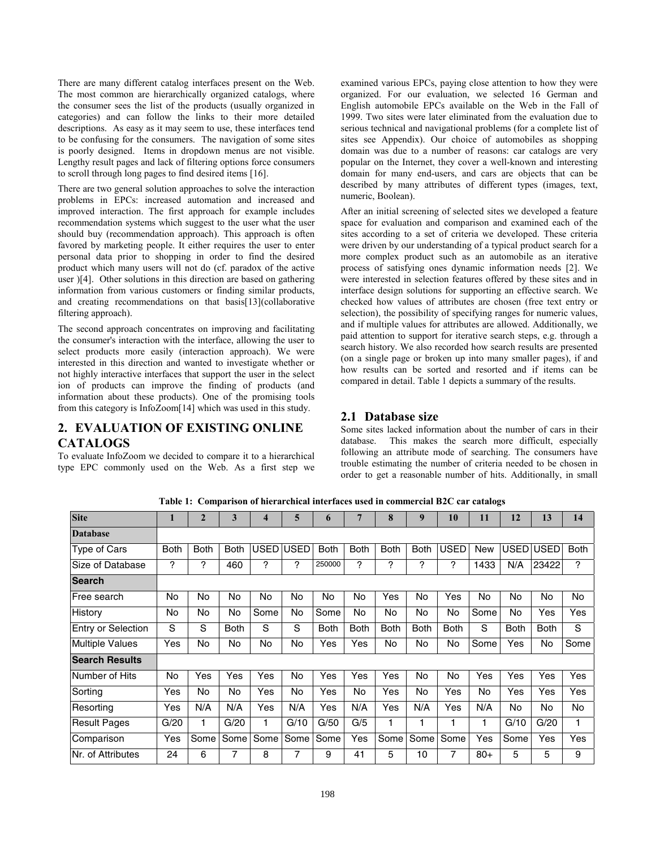There are many different catalog interfaces present on the Web. The most common are hierarchically organized catalogs, where the consumer sees the list of the products (usually organized in categories) and can follow the links to their more detailed descriptions. As easy as it may seem to use, these interfaces tend to be confusing for the consumers. The navigation of some sites is poorly designed. Items in dropdown menus are not visible. Lengthy result pages and lack of filtering options force consumers to scroll through long pages to find desired items [16].

There are two general solution approaches to solve the interaction problems in EPCs: increased automation and increased and improved interaction. The first approach for example includes recommendation systems which suggest to the user what the user should buy (recommendation approach). This approach is often favored by marketing people. It either requires the user to enter personal data prior to shopping in order to find the desired product which many users will not do (cf. paradox of the active user )[4]. Other solutions in this direction are based on gathering information from various customers or finding similar products, and creating recommendations on that basis[13](collaborative filtering approach).

The second approach concentrates on improving and facilitating the consumer's interaction with the interface, allowing the user to select products more easily (interaction approach). We were interested in this direction and wanted to investigate whether or not highly interactive interfaces that support the user in the select ion of products can improve the finding of products (and information about these products). One of the promising tools from this category is InfoZoom[14] which was used in this study.

# **2. EVALUATION OF EXISTING ONLINE CATALOGS**

To evaluate InfoZoom we decided to compare it to a hierarchical type EPC commonly used on the Web. As a first step we

examined various EPCs, paying close attention to how they were organized. For our evaluation, we selected 16 German and English automobile EPCs available on the Web in the Fall of 1999. Two sites were later eliminated from the evaluation due to serious technical and navigational problems (for a complete list of sites see Appendix). Our choice of automobiles as shopping domain was due to a number of reasons: car catalogs are very popular on the Internet, they cover a well-known and interesting domain for many end-users, and cars are objects that can be described by many attributes of different types (images, text, numeric, Boolean).

After an initial screening of selected sites we developed a feature space for evaluation and comparison and examined each of the sites according to a set of criteria we developed. These criteria were driven by our understanding of a typical product search for a more complex product such as an automobile as an iterative process of satisfying ones dynamic information needs [2]. We were interested in selection features offered by these sites and in interface design solutions for supporting an effective search. We checked how values of attributes are chosen (free text entry or selection), the possibility of specifying ranges for numeric values, and if multiple values for attributes are allowed. Additionally, we paid attention to support for iterative search steps, e.g. through a search history. We also recorded how search results are presented (on a single page or broken up into many smaller pages), if and how results can be sorted and resorted and if items can be compared in detail. Table 1 depicts a summary of the results.

# **2.1 Database size**

Some sites lacked information about the number of cars in their database. This makes the search more difficult, especially following an attribute mode of searching. The consumers have trouble estimating the number of criteria needed to be chosen in order to get a reasonable number of hits. Additionally, in small

| <b>Site</b>               | 1           | $\overline{2}$ | 3           | 4    | 5           | $\mathbf b$ | $\overline{7}$ | 8           | 9           | 10          | 11    | 12          | 13          | 14          |
|---------------------------|-------------|----------------|-------------|------|-------------|-------------|----------------|-------------|-------------|-------------|-------|-------------|-------------|-------------|
| <b>Database</b>           |             |                |             |      |             |             |                |             |             |             |       |             |             |             |
| Type of Cars              | <b>Both</b> | <b>Both</b>    | <b>Both</b> | USED | <b>USED</b> | <b>Both</b> | <b>Both</b>    | <b>Both</b> | <b>Both</b> | <b>USED</b> | New   | USED        | <b>USED</b> | <b>Both</b> |
| Size of Database          | ?           | ?              | 460         | ?    | ?           | 250000      | ?              | ?           | ?           | ?           | 1433  | N/A         | 23422       | ?           |
| <b>Search</b>             |             |                |             |      |             |             |                |             |             |             |       |             |             |             |
| Free search               | No          | No             | No          | No   | No          | No          | No             | Yes         | No          | Yes         | No    | No          | No          | No          |
| History                   | No          | No             | No          | Some | No          | Some        | No             | No          | No          | No          | Some  | No          | Yes         | Yes         |
| <b>Entry or Selection</b> | S           | S              | <b>Both</b> | S    | S           | <b>Both</b> | <b>Both</b>    | <b>Both</b> | <b>Both</b> | <b>Both</b> | S     | <b>Both</b> | <b>Both</b> | S           |
| <b>Multiple Values</b>    | Yes         | <b>No</b>      | No          | No   | No          | Yes         | Yes            | No          | No          | No          | Some  | Yes         | No          | Some        |
| <b>Search Results</b>     |             |                |             |      |             |             |                |             |             |             |       |             |             |             |
| Number of Hits            | No          | Yes            | Yes         | Yes  | No          | Yes         | Yes            | Yes         | <b>No</b>   | <b>No</b>   | Yes   | Yes         | Yes         | Yes         |
| Sorting                   | Yes         | <b>No</b>      | No          | Yes  | No          | Yes         | No             | Yes         | No          | Yes         | No    | Yes         | Yes         | Yes         |
| Resorting                 | Yes         | N/A            | N/A         | Yes  | N/A         | Yes         | N/A            | Yes         | N/A         | Yes         | N/A   | No          | No          | No          |
| <b>Result Pages</b>       | G/20        | 1              | G/20        |      | G/10        | G/50        | G/5            | 1           | 1           | 1           |       | G/10        | G/20        | 1           |
| Comparison                | Yes         | Some           | Some        | Some | Some        | Some        | Yes            | Some        | Some        | Some        | Yes   | Some        | Yes         | Yes         |
| Nr. of Attributes         | 24          | 6              | 7           | 8    | 7           | 9           | 41             | 5           | 10          | 7           | $80+$ | 5           | 5           | 9           |

**Table 1: Comparison of hierarchical interfaces used in commercial B2C car catalogs**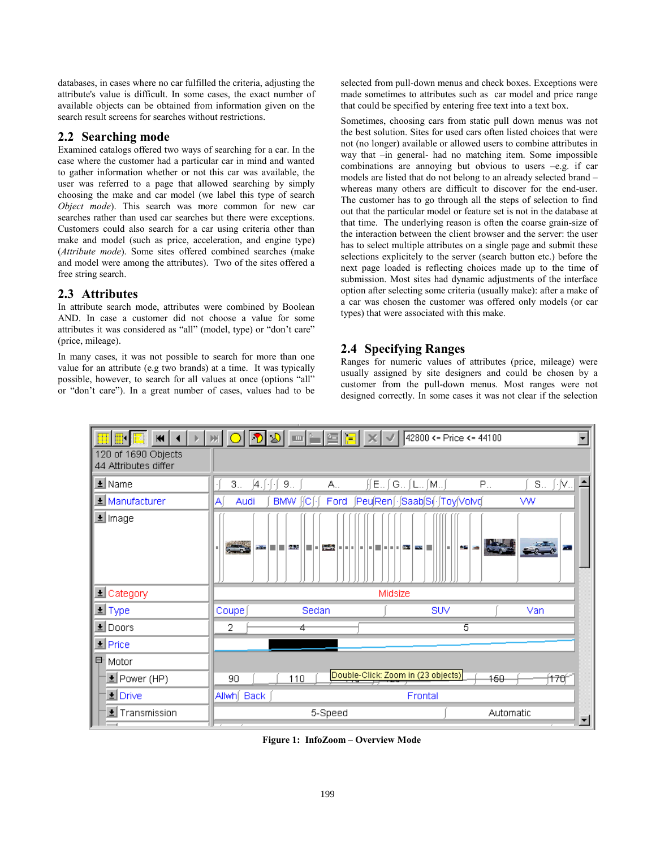databases, in cases where no car fulfilled the criteria, adjusting the attribute's value is difficult. In some cases, the exact number of available objects can be obtained from information given on the search result screens for searches without restrictions.

## **2.2 Searching mode**

Examined catalogs offered two ways of searching for a car. In the case where the customer had a particular car in mind and wanted to gather information whether or not this car was available, the user was referred to a page that allowed searching by simply choosing the make and car model (we label this type of search *Object mode*). This search was more common for new car searches rather than used car searches but there were exceptions. Customers could also search for a car using criteria other than make and model (such as price, acceleration, and engine type) (*Attribute mode*). Some sites offered combined searches (make and model were among the attributes). Two of the sites offered a free string search.

## **2.3 Attributes**

In attribute search mode, attributes were combined by Boolean AND. In case a customer did not choose a value for some attributes it was considered as "all" (model, type) or "don't care" (price, mileage).

In many cases, it was not possible to search for more than one value for an attribute (e.g two brands) at a time. It was typically possible, however, to search for all values at once (options "all" or "don't care"). In a great number of cases, values had to be selected from pull-down menus and check boxes. Exceptions were made sometimes to attributes such as car model and price range that could be specified by entering free text into a text box.

Sometimes, choosing cars from static pull down menus was not the best solution. Sites for used cars often listed choices that were not (no longer) available or allowed users to combine attributes in way that –in general- had no matching item. Some impossible combinations are annoying but obvious to users  $-e.g.$  if car models are listed that do not belong to an already selected brand – whereas many others are difficult to discover for the end-user. The customer has to go through all the steps of selection to find out that the particular model or feature set is not in the database at that time. The underlying reason is often the coarse grain-size of the interaction between the client browser and the server: the user has to select multiple attributes on a single page and submit these selections explicitely to the server (search button etc.) before the next page loaded is reflecting choices made up to the time of submission. Most sites had dynamic adjustments of the interface option after selecting some criteria (usually make): after a make of a car was chosen the customer was offered only models (or car types) that were associated with this make.

# **2.4 Specifying Ranges**

Ranges for numeric values of attributes (price, mileage) were usually assigned by site designers and could be chosen by a customer from the pull-down menus. Most ranges were not designed correctly. In some cases it was not clear if the selection



**Figure 1: InfoZoom – Overview Mode**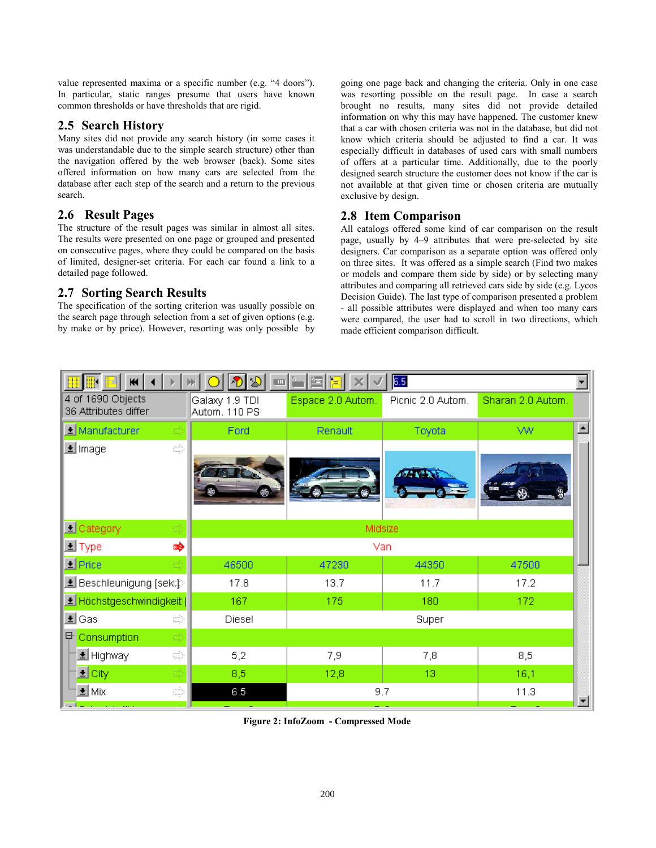value represented maxima or a specific number (e.g. "4 doors"). In particular, static ranges presume that users have known common thresholds or have thresholds that are rigid.

# **2.5 Search History**

Many sites did not provide any search history (in some cases it was understandable due to the simple search structure) other than the navigation offered by the web browser (back). Some sites offered information on how many cars are selected from the database after each step of the search and a return to the previous search.

# **2.6 Result Pages**

The structure of the result pages was similar in almost all sites. The results were presented on one page or grouped and presented on consecutive pages, where they could be compared on the basis of limited, designer-set criteria. For each car found a link to a detailed page followed.

# **2.7 Sorting Search Results**

The specification of the sorting criterion was usually possible on the search page through selection from a set of given options (e.g. by make or by price). However, resorting was only possible by

going one page back and changing the criteria. Only in one case was resorting possible on the result page. In case a search brought no results, many sites did not provide detailed information on why this may have happened. The customer knew that a car with chosen criteria was not in the database, but did not know which criteria should be adjusted to find a car. It was especially difficult in databases of used cars with small numbers of offers at a particular time. Additionally, due to the poorly designed search structure the customer does not know if the car is not available at that given time or chosen criteria are mutually exclusive by design.

# **2.8 Item Comparison**

All catalogs offered some kind of car comparison on the result page, usually by 4–9 attributes that were pre-selected by site designers. Car comparison as a separate option was offered only on three sites. It was offered as a simple search (Find two makes or models and compare them side by side) or by selecting many attributes and comparing all retrieved cars side by side (e.g. Lycos Decision Guide). The last type of comparison presented a problem - all possible attributes were displayed and when too many cars were compared, the user had to scroll in two directions, which made efficient comparison difficult.

| $\blacksquare$                            | $\mathfrak{D}$<br>$\mathbf{H}$  | 鱼目                | 6.5               |                   |                  |
|-------------------------------------------|---------------------------------|-------------------|-------------------|-------------------|------------------|
| 4 of 1690 Objects<br>36 Attributes differ | Galaxy 1.9 TDI<br>Autom. 110 PS | Espace 2.0 Autom. | Picnic 2.0 Autom. | Sharan 2.0 Autom. |                  |
| $\leq$ Manufacturer                       | Ford                            | Renault           | Toyota            | <b>WW</b>         | $\blacktriangle$ |
| ₽₿<br>Le Image                            |                                 |                   |                   |                   |                  |
| L Category                                |                                 | Midsize           |                   |                   |                  |
| 吟<br><u> ≢l</u> Type                      |                                 | Van               |                   |                   |                  |
| $\blacksquare$ Price                      | 46500                           | 47230             | 44350             | 47500             |                  |
| <u>●</u> Beschleunigung [sek:]            | 17.8                            | 13.7              | 11.7              | 17.2              |                  |
| <u>로 Höchstgeschwindigkeit</u>            | 167                             | 175               | 180               | 172               |                  |
| ± Gas<br>¢                                | Diesel                          |                   | Super             |                   |                  |
| Consumption<br>타<br>Ш                     |                                 |                   |                   |                   |                  |
| <mark>±</mark> Highway<br>E)              | 5,2                             | 7,9               | 7,8               | 8,5               |                  |
| EŹ                                        | 8,5                             | 12,8              | 13                | 16,1              |                  |
| ± Mix<br>E)                               | 6.5                             | 9.7               |                   | 11.3              | ᆌ                |

**Figure 2: InfoZoom - Compressed Mode**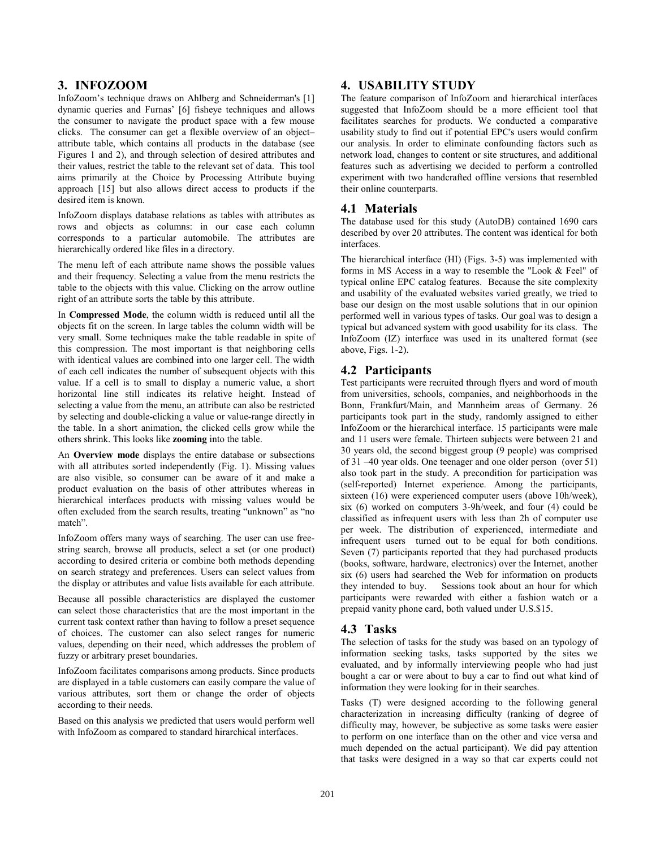## **3. INFOZOOM**

InfoZoom's technique draws on Ahlberg and Schneiderman's [1] dynamic queries and Furnas' [6] fisheye techniques and allows the consumer to navigate the product space with a few mouse clicks. The consumer can get a flexible overview of an object– attribute table, which contains all products in the database (see Figures 1 and 2), and through selection of desired attributes and their values, restrict the table to the relevant set of data. This tool aims primarily at the Choice by Processing Attribute buying approach [15] but also allows direct access to products if the desired item is known.

InfoZoom displays database relations as tables with attributes as rows and objects as columns: in our case each column corresponds to a particular automobile. The attributes are hierarchically ordered like files in a directory.

The menu left of each attribute name shows the possible values and their frequency. Selecting a value from the menu restricts the table to the objects with this value. Clicking on the arrow outline right of an attribute sorts the table by this attribute.

In **Compressed Mode**, the column width is reduced until all the objects fit on the screen. In large tables the column width will be very small. Some techniques make the table readable in spite of this compression. The most important is that neighboring cells with identical values are combined into one larger cell. The width of each cell indicates the number of subsequent objects with this value. If a cell is to small to display a numeric value, a short horizontal line still indicates its relative height. Instead of selecting a value from the menu, an attribute can also be restricted by selecting and double-clicking a value or value-range directly in the table. In a short animation, the clicked cells grow while the others shrink. This looks like **zooming** into the table.

An **Overview mode** displays the entire database or subsections with all attributes sorted independently (Fig. 1). Missing values are also visible, so consumer can be aware of it and make a product evaluation on the basis of other attributes whereas in hierarchical interfaces products with missing values would be often excluded from the search results, treating "unknown" as "no match".

InfoZoom offers many ways of searching. The user can use freestring search, browse all products, select a set (or one product) according to desired criteria or combine both methods depending on search strategy and preferences. Users can select values from the display or attributes and value lists available for each attribute.

Because all possible characteristics are displayed the customer can select those characteristics that are the most important in the current task context rather than having to follow a preset sequence of choices. The customer can also select ranges for numeric values, depending on their need, which addresses the problem of fuzzy or arbitrary preset boundaries.

InfoZoom facilitates comparisons among products. Since products are displayed in a table customers can easily compare the value of various attributes, sort them or change the order of objects according to their needs.

Based on this analysis we predicted that users would perform well with InfoZoom as compared to standard hirarchical interfaces.

## **4. USABILITY STUDY**

The feature comparison of InfoZoom and hierarchical interfaces suggested that InfoZoom should be a more efficient tool that facilitates searches for products. We conducted a comparative usability study to find out if potential EPC's users would confirm our analysis. In order to eliminate confounding factors such as network load, changes to content or site structures, and additional features such as advertising we decided to perform a controlled experiment with two handcrafted offline versions that resembled their online counterparts.

## **4.1 Materials**

The database used for this study (AutoDB) contained 1690 cars described by over 20 attributes. The content was identical for both interfaces.

The hierarchical interface (HI) (Figs. 3-5) was implemented with forms in MS Access in a way to resemble the "Look & Feel" of typical online EPC catalog features. Because the site complexity and usability of the evaluated websites varied greatly, we tried to base our design on the most usable solutions that in our opinion performed well in various types of tasks. Our goal was to design a typical but advanced system with good usability for its class. The InfoZoom (IZ) interface was used in its unaltered format (see above, Figs. 1-2).

## **4.2 Participants**

Test participants were recruited through flyers and word of mouth from universities, schools, companies, and neighborhoods in the Bonn, Frankfurt/Main, and Mannheim areas of Germany. 26 participants took part in the study, randomly assigned to either InfoZoom or the hierarchical interface. 15 participants were male and 11 users were female. Thirteen subjects were between 21 and 30 years old, the second biggest group (9 people) was comprised of 31 –40 year olds. One teenager and one older person (over 51) also took part in the study. A precondition for participation was (self-reported) Internet experience. Among the participants, sixteen (16) were experienced computer users (above 10h/week), six (6) worked on computers 3-9h/week, and four (4) could be classified as infrequent users with less than 2h of computer use per week. The distribution of experienced, intermediate and infrequent users turned out to be equal for both conditions. Seven (7) participants reported that they had purchased products (books, software, hardware, electronics) over the Internet, another six (6) users had searched the Web for information on products they intended to buy. Sessions took about an hour for which participants were rewarded with either a fashion watch or a prepaid vanity phone card, both valued under U.S.\$15.

## **4.3 Tasks**

The selection of tasks for the study was based on an typology of information seeking tasks, tasks supported by the sites we evaluated, and by informally interviewing people who had just bought a car or were about to buy a car to find out what kind of information they were looking for in their searches.

Tasks (T) were designed according to the following general characterization in increasing difficulty (ranking of degree of difficulty may, however, be subjective as some tasks were easier to perform on one interface than on the other and vice versa and much depended on the actual participant). We did pay attention that tasks were designed in a way so that car experts could not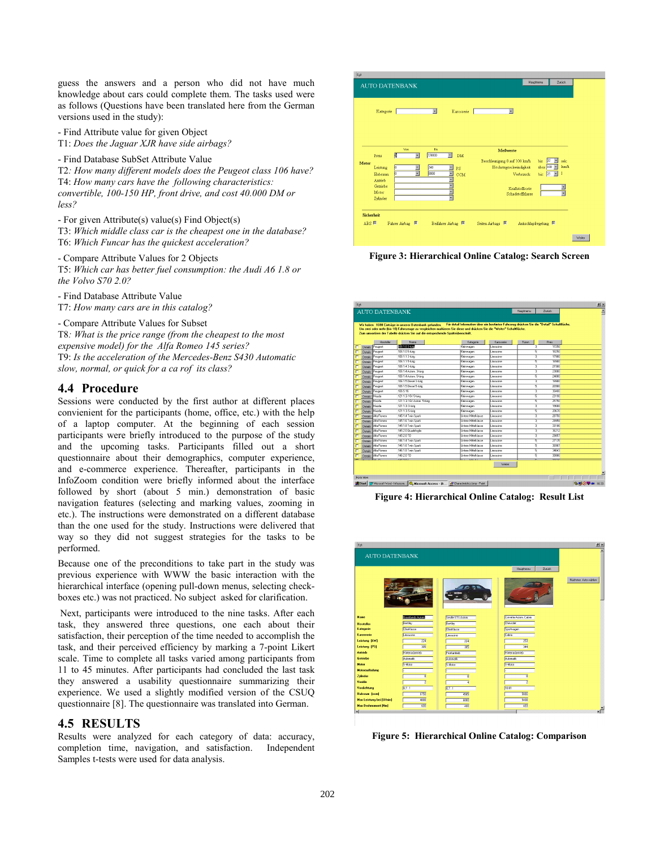guess the answers and a person who did not have much knowledge about cars could complete them. The tasks used were as follows (Questions have been translated here from the German versions used in the study):

- Find Attribute value for given Object T1: *Does the Jaguar XJR have side airbags?* 

- Find Database SubSet Attribute Value

T2*: How many different models does the Peugeot class 106 have?* T4: *How many cars have the following characteristics: convertible, 100-150 HP, front drive, and cost 40.000 DM or less?*

- For given Attribute(s) value(s) Find Object(s) T3: *Which middle class car is the cheapest one in the database?*  T6: *Which Funcar has the quickest acceleration?*

- Compare Attribute Values for 2 Objects T5: *Which car has better fuel consumption: the Audi A6 1.8 or the Volvo S70 2.0?*

- Find Database Attribute Value T7: *How many cars are in this catalog?*

- Compare Attribute Values for Subset T8*: What is the price range (from the cheapest to the most expensive model) for the Alfa Romeo 145 series?*  T9: *Is the acceleration of the Mercedes-Benz S430 Automatic slow, normal, or quick for a ca rof its class?*

## **4.4 Procedure**

Sessions were conducted by the first author at different places convienient for the participants (home, office, etc.) with the help of a laptop computer. At the beginning of each session participants were briefly introduced to the purpose of the study and the upcoming tasks. Participants filled out a short questionnaire about their demographics, computer experience, and e-commerce experience. Thereafter, participants in the InfoZoom condition were briefly informed about the interface followed by short (about 5 min.) demonstration of basic navigation features (selecting and marking values, zooming in etc.). The instructions were demonstrated on a different database than the one used for the study. Instructions were delivered that way so they did not suggest strategies for the tasks to be performed.

Because one of the preconditions to take part in the study was previous experience with WWW the basic interaction with the hierarchical interface (opening pull-down menus, selecting checkboxes etc.) was not practiced. No subject asked for clarification.

 Next, participants were introduced to the nine tasks. After each task, they answered three questions, one each about their satisfaction, their perception of the time needed to accomplish the task, and their perceived efficiency by marking a 7-point Likert scale. Time to complete all tasks varied among participants from 11 to 45 minutes. After participants had concluded the last task they answered a usability questionnaire summarizing their experience. We used a slightly modified version of the CSUQ questionnaire [8]. The questionnaire was translated into German.

## **4.5 RESULTS**

Results were analyzed for each category of data: accuracy, completion time, navigation, and satisfaction. Independent Samples t-tests were used for data analysis.



**Figure 3: Hierarchical Online Catalog: Search Screen** 



**Figure 4: Hierarchical Online Catalog: Result List** 

| <b>AUTO DATENBANK</b>    |                         |                  |                         |                      |
|--------------------------|-------------------------|------------------|-------------------------|----------------------|
|                          |                         |                  | Zuitick<br>Hauptmenu    |                      |
|                          |                         |                  |                         | Nächstes Auto wählen |
| <b>Name</b>              | <b>Brooklands Autom</b> | Sevile STS Autom | Convette Autom, Cabrio  |                      |
| <b>Hersteller</b>        | Bertley                 | Bentley          | <b>Chevrolet</b>        |                      |
| Kategorie                | <b>Oberklasse</b>       | Oberklasse       | Sportwagen              |                      |
| Karosserie               | Limousine               | Limousine        | Cabrio                  |                      |
| Leistung [kW]            | 224                     | $\overline{224}$ | 253                     |                      |
| <b>Leistung [PS]</b>     | 305                     | 305              | 344                     |                      |
| <b>Antrieb</b>           | Hinterradantrieb        | Frontantrieb     | Hintenadantrieb         |                      |
| Getriebe                 | Automatik.              | Automatik        | Automatik.              |                      |
| Motor                    | V-Motor                 | V-Motor          | V-Motor                 |                      |
| Motoraufladung           |                         |                  |                         |                      |
| Zylinder                 | 8                       | इ                | $\overline{\mathbf{8}}$ |                      |
| Ventile                  | 7                       | $\overline{4}$   | z                       |                      |
| Verdichtung              | 8.7:1                   | 87:1             | 10:01                   |                      |
| Hubraum [ccm]            | 6750<br>4000            | 4565             | 5666                    |                      |
| Max Leistung bei [U/min] |                         | 6000             | 5400                    |                      |

**Figure 5: Hierarchical Online Catalog: Comparison**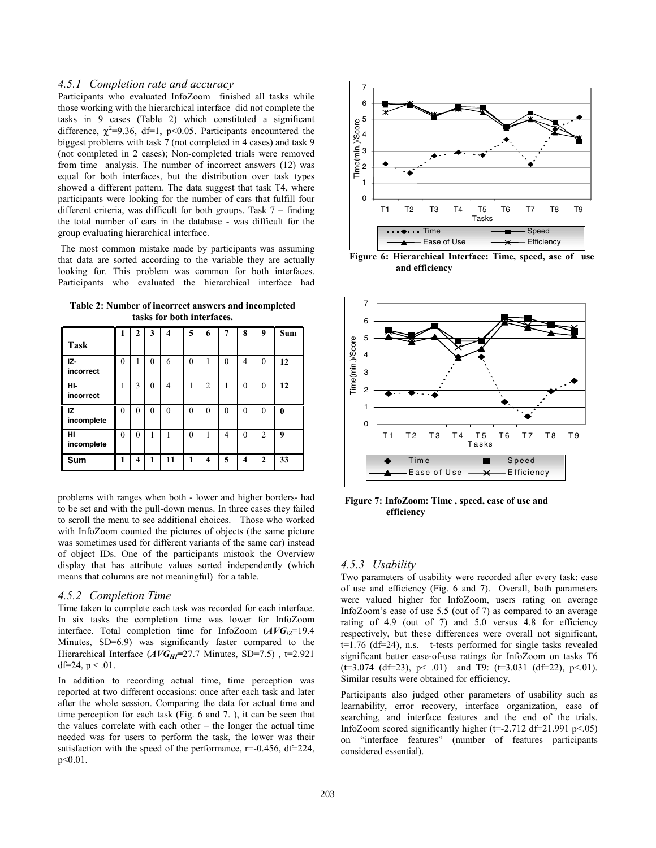#### *4.5.1 Completion rate and accuracy*

Participants who evaluated InfoZoom finished all tasks while those working with the hierarchical interface did not complete the tasks in 9 cases (Table 2) which constituted a significant difference,  $\chi^2$ =9.36, df=1, p<0.05. Participants encountered the biggest problems with task 7 (not completed in 4 cases) and task 9 (not completed in 2 cases); Non-completed trials were removed from time analysis. The number of incorrect answers (12) was equal for both interfaces, but the distribution over task types showed a different pattern. The data suggest that task T4, where participants were looking for the number of cars that fulfill four different criteria, was difficult for both groups. Task 7 – finding the total number of cars in the database - was difficult for the group evaluating hierarchical interface.

 The most common mistake made by participants was assuming that data are sorted according to the variable they are actually looking for. This problem was common for both interfaces. Participants who evaluated the hierarchical interface had

**Table 2: Number of incorrect answers and incompleted tasks for both interfaces.** 

|                  | 1        | 2        | 3        | $\overline{\mathbf{4}}$ | 5        | 6              | $\overline{7}$ | 8        | 9              | <b>Sum</b> |
|------------------|----------|----------|----------|-------------------------|----------|----------------|----------------|----------|----------------|------------|
| <b>Task</b>      |          |          |          |                         |          |                |                |          |                |            |
| IZ-<br>incorrect | $\theta$ |          | $\theta$ | 6                       | $\theta$ |                | $\theta$       | 4        | $\theta$       | 12         |
| HI-<br>incorrect |          | 3        | $\theta$ | 4                       |          | $\overline{2}$ |                | $\theta$ | $\theta$       | 12         |
| IZ<br>incomplete | 0        | $\theta$ | $\theta$ | $\Omega$                | $\theta$ | $\theta$       | $\Omega$       | $\theta$ | $\theta$       | $\bf{0}$   |
| HI<br>incomplete | $\theta$ | $\theta$ | 1        |                         | $\theta$ | 1              | 4              | $\theta$ | $\overline{2}$ | 9          |
| Sum              |          | 4        | 1        | 11                      | 1        | 4              | 5              | 4        | $\mathbf{2}$   | 33         |

problems with ranges when both - lower and higher borders- had to be set and with the pull-down menus. In three cases they failed to scroll the menu to see additional choices. Those who worked with InfoZoom counted the pictures of objects (the same picture was sometimes used for different variants of the same car) instead of object IDs. One of the participants mistook the Overview display that has attribute values sorted independently (which means that columns are not meaningful) for a table.

#### *4.5.2 Completion Time*

Time taken to complete each task was recorded for each interface. In six tasks the completion time was lower for InfoZoom interface. Total completion time for InfoZoom ( $AVG<sub>IZ</sub>=19.4$ Minutes, SD=6.9) was significantly faster compared to the Hierarchical Interface ( $AVG_{HI}$ =27.7 Minutes, SD=7.5), t=2.921 df=24,  $p < 0.01$ .

In addition to recording actual time, time perception was reported at two different occasions: once after each task and later after the whole session. Comparing the data for actual time and time perception for each task (Fig. 6 and 7. ), it can be seen that the values correlate with each other – the longer the actual time needed was for users to perform the task, the lower was their satisfaction with the speed of the performance,  $r=-0.456$ , df=224, p<0.01.



**Figure 6: Hierarchical Interface: Time, speed, ase of use and efficiency**



 **Figure 7: InfoZoom: Time , speed, ease of use and efficiency** 

#### *4.5.3 Usability*

Two parameters of usability were recorded after every task: ease of use and efficiency (Fig. 6 and 7). Overall, both parameters were valued higher for InfoZoom, users rating on average InfoZoom's ease of use 5.5 (out of 7) as compared to an average rating of 4.9 (out of 7) and 5.0 versus 4.8 for efficiency respectively, but these differences were overall not significant, t=1.76 (df=24), n.s. t-tests performed for single tasks revealed significant better ease-of-use ratings for InfoZoom on tasks T6  $(t=3.074 \text{ (df=23)}, \text{ p} < .01)$  and T9:  $(t=3.031 \text{ (df=22)}, \text{ p} < .01)$ . Similar results were obtained for efficiency.

Participants also judged other parameters of usability such as learnability, error recovery, interface organization, ease of searching, and interface features and the end of the trials. InfoZoom scored significantly higher ( $t=-2.712$  d $t=21.991$  p $<05$ ) on "interface features" (number of features participants considered essential).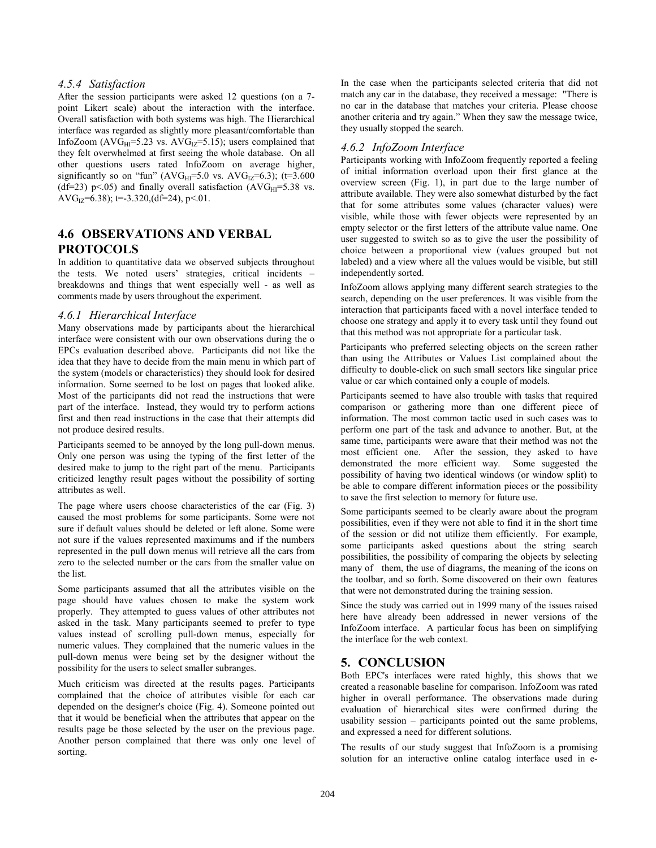## *4.5.4 Satisfaction*

After the session participants were asked 12 questions (on a 7point Likert scale) about the interaction with the interface. Overall satisfaction with both systems was high. The Hierarchical interface was regarded as slightly more pleasant/comfortable than InfoZoom ( $AVG_{HI} = 5.23$  vs.  $AVG_{IZ} = 5.15$ ); users complained that they felt overwhelmed at first seeing the whole database. On all other questions users rated InfoZoom on average higher, significantly so on "fun" (AVG<sub>HI</sub>=5.0 vs. AVG<sub>IZ</sub>=6.3); (t=3.600 (df=23) p<.05) and finally overall satisfaction (AVG $_{HI}$ =5.38 vs. AVG<sub>IZ</sub>=6.38); t=-3.320, (df=24), p<.01.

# **4.6 OBSERVATIONS AND VERBAL PROTOCOLS**

In addition to quantitative data we observed subjects throughout the tests. We noted users' strategies, critical incidents – breakdowns and things that went especially well - as well as comments made by users throughout the experiment.

#### *4.6.1 Hierarchical Interface*

Many observations made by participants about the hierarchical interface were consistent with our own observations during the o EPCs evaluation described above. Participants did not like the idea that they have to decide from the main menu in which part of the system (models or characteristics) they should look for desired information. Some seemed to be lost on pages that looked alike. Most of the participants did not read the instructions that were part of the interface. Instead, they would try to perform actions first and then read instructions in the case that their attempts did not produce desired results.

Participants seemed to be annoyed by the long pull-down menus. Only one person was using the typing of the first letter of the desired make to jump to the right part of the menu. Participants criticized lengthy result pages without the possibility of sorting attributes as well.

The page where users choose characteristics of the car (Fig. 3) caused the most problems for some participants. Some were not sure if default values should be deleted or left alone. Some were not sure if the values represented maximums and if the numbers represented in the pull down menus will retrieve all the cars from zero to the selected number or the cars from the smaller value on the list.

Some participants assumed that all the attributes visible on the page should have values chosen to make the system work properly. They attempted to guess values of other attributes not asked in the task. Many participants seemed to prefer to type values instead of scrolling pull-down menus, especially for numeric values. They complained that the numeric values in the pull-down menus were being set by the designer without the possibility for the users to select smaller subranges.

Much criticism was directed at the results pages. Participants complained that the choice of attributes visible for each car depended on the designer's choice (Fig. 4). Someone pointed out that it would be beneficial when the attributes that appear on the results page be those selected by the user on the previous page. Another person complained that there was only one level of sorting.

In the case when the participants selected criteria that did not match any car in the database, they received a message: "There is no car in the database that matches your criteria. Please choose another criteria and try again." When they saw the message twice, they usually stopped the search.

## *4.6.2 InfoZoom Interface*

Participants working with InfoZoom frequently reported a feeling of initial information overload upon their first glance at the overview screen (Fig. 1), in part due to the large number of attribute available. They were also somewhat disturbed by the fact that for some attributes some values (character values) were visible, while those with fewer objects were represented by an empty selector or the first letters of the attribute value name. One user suggested to switch so as to give the user the possibility of choice between a proportional view (values grouped but not labeled) and a view where all the values would be visible, but still independently sorted.

InfoZoom allows applying many different search strategies to the search, depending on the user preferences. It was visible from the interaction that participants faced with a novel interface tended to choose one strategy and apply it to every task until they found out that this method was not appropriate for a particular task.

Participants who preferred selecting objects on the screen rather than using the Attributes or Values List complained about the difficulty to double-click on such small sectors like singular price value or car which contained only a couple of models.

Participants seemed to have also trouble with tasks that required comparison or gathering more than one different piece of information. The most common tactic used in such cases was to perform one part of the task and advance to another. But, at the same time, participants were aware that their method was not the most efficient one. After the session, they asked to have demonstrated the more efficient way. Some suggested the possibility of having two identical windows (or window split) to be able to compare different information pieces or the possibility to save the first selection to memory for future use.

Some participants seemed to be clearly aware about the program possibilities, even if they were not able to find it in the short time of the session or did not utilize them efficiently. For example, some participants asked questions about the string search possibilities, the possibility of comparing the objects by selecting many of them, the use of diagrams, the meaning of the icons on the toolbar, and so forth. Some discovered on their own features that were not demonstrated during the training session.

Since the study was carried out in 1999 many of the issues raised here have already been addressed in newer versions of the InfoZoom interface. A particular focus has been on simplifying the interface for the web context.

## **5. CONCLUSION**

Both EPC's interfaces were rated highly, this shows that we created a reasonable baseline for comparison. InfoZoom was rated higher in overall performance. The observations made during evaluation of hierarchical sites were confirmed during the usability session – participants pointed out the same problems, and expressed a need for different solutions.

The results of our study suggest that InfoZoom is a promising solution for an interactive online catalog interface used in e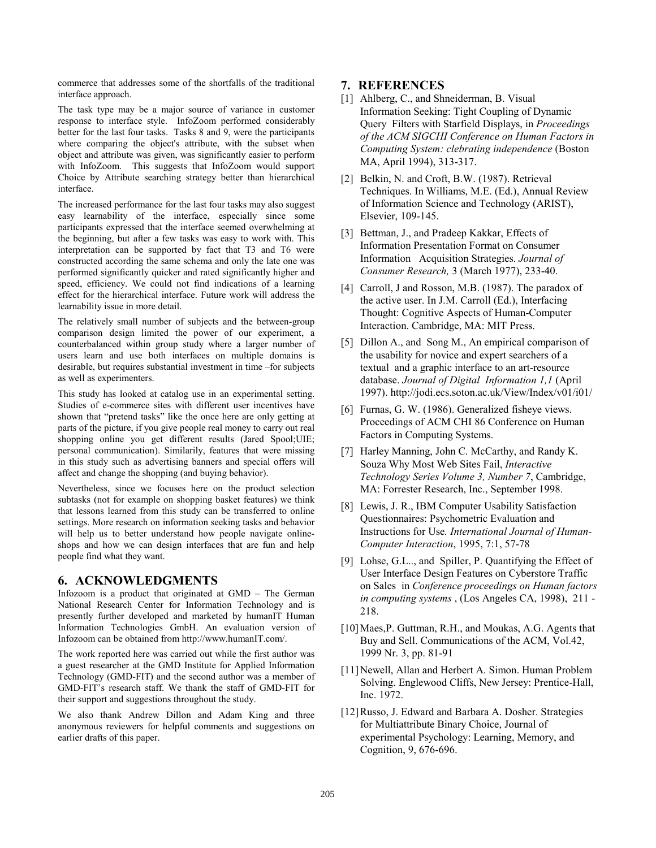commerce that addresses some of the shortfalls of the traditional interface approach.

The task type may be a major source of variance in customer response to interface style. InfoZoom performed considerably better for the last four tasks. Tasks 8 and 9, were the participants where comparing the object's attribute, with the subset when object and attribute was given, was significantly easier to perform with InfoZoom. This suggests that InfoZoom would support Choice by Attribute searching strategy better than hierarchical interface.

The increased performance for the last four tasks may also suggest easy learnability of the interface, especially since some participants expressed that the interface seemed overwhelming at the beginning, but after a few tasks was easy to work with. This interpretation can be supported by fact that T3 and T6 were constructed according the same schema and only the late one was performed significantly quicker and rated significantly higher and speed, efficiency. We could not find indications of a learning effect for the hierarchical interface. Future work will address the learnability issue in more detail.

The relatively small number of subjects and the between-group comparison design limited the power of our experiment, a counterbalanced within group study where a larger number of users learn and use both interfaces on multiple domains is desirable, but requires substantial investment in time –for subjects as well as experimenters.

This study has looked at catalog use in an experimental setting. Studies of e-commerce sites with different user incentives have shown that "pretend tasks" like the once here are only getting at parts of the picture, if you give people real money to carry out real shopping online you get different results (Jared Spool;UIE; personal communication). Similarily, features that were missing in this study such as advertising banners and special offers will affect and change the shopping (and buying behavior).

Nevertheless, since we focuses here on the product selection subtasks (not for example on shopping basket features) we think that lessons learned from this study can be transferred to online settings. More research on information seeking tasks and behavior will help us to better understand how people navigate onlineshops and how we can design interfaces that are fun and help people find what they want.

## **6. ACKNOWLEDGMENTS**

Infozoom is a product that originated at GMD – The German National Research Center for Information Technology and is presently further developed and marketed by humanIT Human Information Technologies GmbH. An evaluation version of Infozoom can be obtained from http://www.humanIT.com/.

The work reported here was carried out while the first author was a guest researcher at the GMD Institute for Applied Information Technology (GMD-FIT) and the second author was a member of GMD-FIT's research staff. We thank the staff of GMD-FIT for their support and suggestions throughout the study.

We also thank Andrew Dillon and Adam King and three anonymous reviewers for helpful comments and suggestions on earlier drafts of this paper.

## **7. REFERENCES**

- [1] Ahlberg, C., and Shneiderman, B. Visual Information Seeking: Tight Coupling of Dynamic Query Filters with Starfield Displays, in *Proceedings of the ACM SIGCHI Conference on Human Factors in Computing System: clebrating independence* (Boston MA, April 1994), 313-317.
- [2] Belkin, N. and Croft, B.W. (1987). Retrieval Techniques. In Williams, M.E. (Ed.), Annual Review of Information Science and Technology (ARIST), Elsevier, 109-145.
- [3] Bettman, J., and Pradeep Kakkar, Effects of Information Presentation Format on Consumer Information Acquisition Strategies. *Journal of Consumer Research,* 3 (March 1977), 233-40.
- [4] Carroll, J and Rosson, M.B. (1987). The paradox of the active user. In J.M. Carroll (Ed.), Interfacing Thought: Cognitive Aspects of Human-Computer Interaction. Cambridge, MA: MIT Press.
- [5] Dillon A., and Song M., An empirical comparison of the usability for novice and expert searchers of a textual and a graphic interface to an art-resource database. *Journal of Digital Information 1,1* (April 1997). http://jodi.ecs.soton.ac.uk/View/Index/v01/i01/
- [6] Furnas, G. W. (1986). Generalized fisheve views. Proceedings of ACM CHI 86 Conference on Human Factors in Computing Systems.
- [7] Harley Manning, John C. McCarthy, and Randy K. Souza Why Most Web Sites Fail, *Interactive Technology Series Volume 3, Number 7*, Cambridge, MA: Forrester Research, Inc., September 1998.
- [8] Lewis, J. R., IBM Computer Usability Satisfaction Questionnaires: Psychometric Evaluation and Instructions for Use*. International Journal of Human-Computer Interaction*, 1995, 7:1, 57-78
- [9] Lohse, G.L.., and Spiller, P. Quantifying the Effect of User Interface Design Features on Cyberstore Traffic on Sales in *Conference proceedings on Human factors in computing systems* , (Los Angeles CA, 1998), 211 - 218.
- [10] Maes, P. Guttman, R.H., and Moukas, A.G. Agents that Buy and Sell. Communications of the ACM, Vol.42, 1999 Nr. 3, pp. 81-91
- [11] Newell, Allan and Herbert A. Simon. Human Problem Solving. Englewood Cliffs, New Jersey: Prentice-Hall, Inc. 1972.
- [12] Russo, J. Edward and Barbara A. Dosher. Strategies for Multiattribute Binary Choice, Journal of experimental Psychology: Learning, Memory, and Cognition, 9, 676-696.